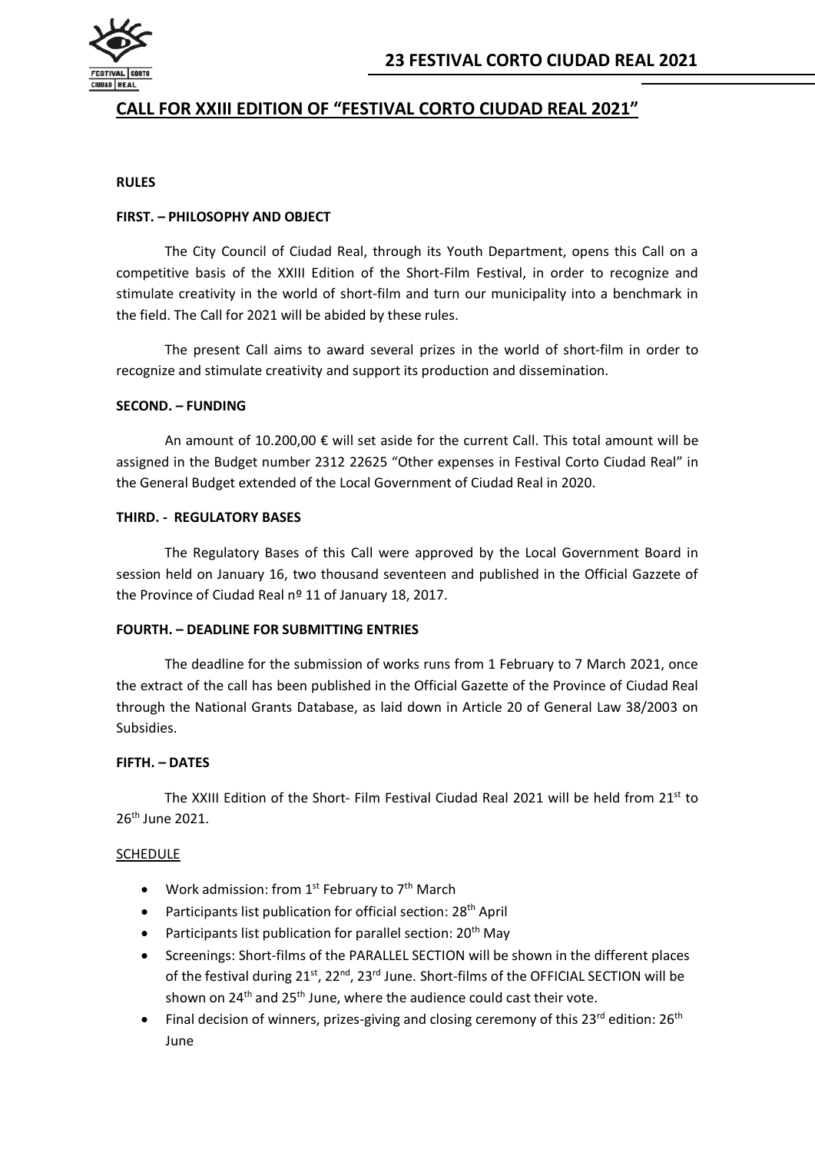

# **CALL FOR XXIII EDITION OF "FESTIVAL CORTO CIUDAD REAL 2021"**

#### **RULES**

## **FIRST. – PHILOSOPHY AND OBJECT**

The City Council of Ciudad Real, through its Youth Department, opens this Call on a competitive basis of the XXIII Edition of the Short-Film Festival, in order to recognize and stimulate creativity in the world of short-film and turn our municipality into a benchmark in the field. The Call for 2021 will be abided by these rules.

The present Call aims to award several prizes in the world of short-film in order to recognize and stimulate creativity and support its production and dissemination.

#### **SECOND. – FUNDING**

An amount of 10.200,00  $\epsilon$  will set aside for the current Call. This total amount will be assigned in the Budget number 2312 22625 "Other expenses in Festival Corto Ciudad Real" in the General Budget extended of the Local Government of Ciudad Real in 2020.

#### **THIRD. - REGULATORY BASES**

The Regulatory Bases of this Call were approved by the Local Government Board in session held on January 16, two thousand seventeen and published in the Official Gazzete of the Province of Ciudad Real nº 11 of January 18, 2017.

### **FOURTH. – DEADLINE FOR SUBMITTING ENTRIES**

The deadline for the submission of works runs from 1 February to 7 March 2021, once the extract of the call has been published in the Official Gazette of the Province of Ciudad Real through the National Grants Database, as laid down in Article 20 of General Law 38/2003 on Subsidies.

### **FIFTH. – DATES**

The XXIII Edition of the Short- Film Festival Ciudad Real 2021 will be held from 21<sup>st</sup> to 26th June 2021.

### SCHEDULE

- Work admission: from  $1^{st}$  February to  $7^{th}$  March
- Participants list publication for official section:  $28<sup>th</sup>$  April
- Participants list publication for parallel section:  $20<sup>th</sup>$  May
- Screenings: Short-films of the PARALLEL SECTION will be shown in the different places of the festival during  $21^{st}$ ,  $22^{nd}$ ,  $23^{rd}$  June. Short-films of the OFFICIAL SECTION will be shown on 24<sup>th</sup> and 25<sup>th</sup> June, where the audience could cast their vote.
- Final decision of winners, prizes-giving and closing ceremony of this 23<sup>rd</sup> edition: 26<sup>th</sup> June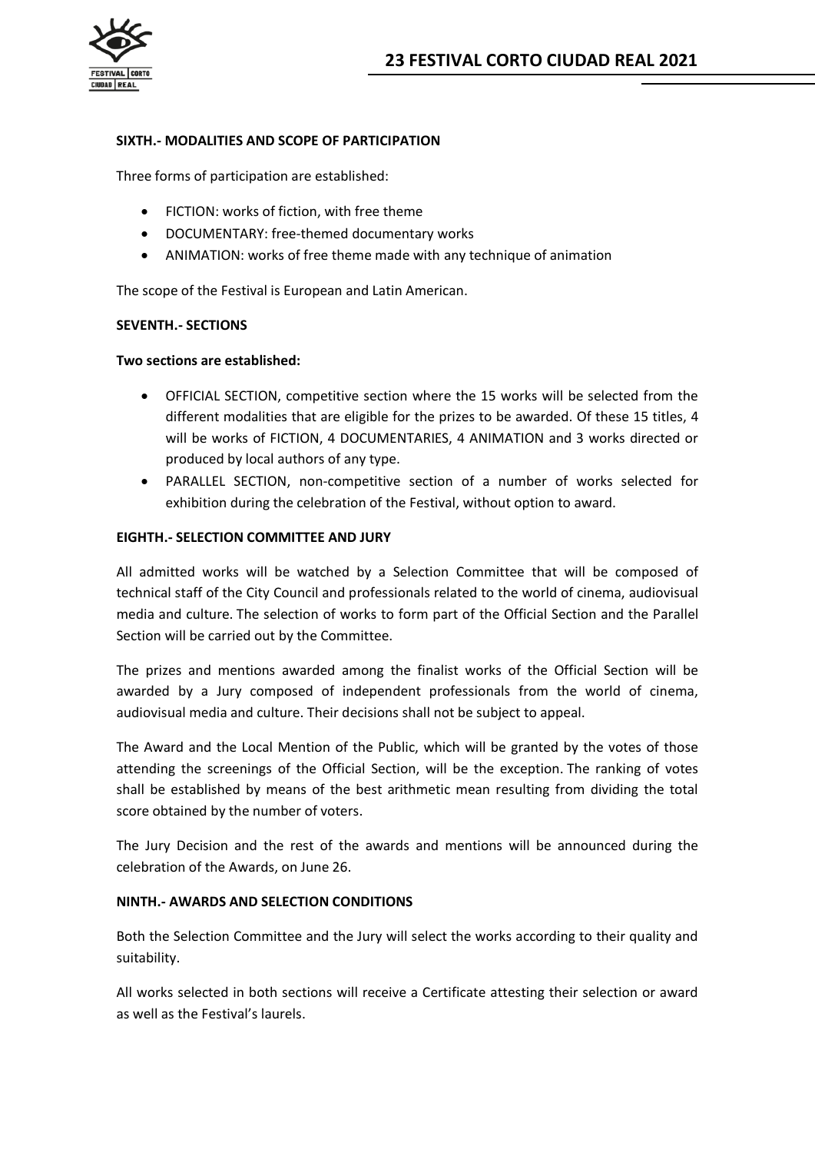

# **SIXTH.- MODALITIES AND SCOPE OF PARTICIPATION**

Three forms of participation are established:

- FICTION: works of fiction, with free theme
- DOCUMENTARY: free-themed documentary works
- ANIMATION: works of free theme made with any technique of animation

The scope of the Festival is European and Latin American.

### **SEVENTH.- SECTIONS**

#### **Two sections are established:**

- OFFICIAL SECTION, competitive section where the 15 works will be selected from the different modalities that are eligible for the prizes to be awarded. Of these 15 titles, 4 will be works of FICTION, 4 DOCUMENTARIES, 4 ANIMATION and 3 works directed or produced by local authors of any type.
- PARALLEL SECTION, non-competitive section of a number of works selected for exhibition during the celebration of the Festival, without option to award.

#### **EIGHTH.- SELECTION COMMITTEE AND JURY**

All admitted works will be watched by a Selection Committee that will be composed of technical staff of the City Council and professionals related to the world of cinema, audiovisual media and culture. The selection of works to form part of the Official Section and the Parallel Section will be carried out by the Committee.

The prizes and mentions awarded among the finalist works of the Official Section will be awarded by a Jury composed of independent professionals from the world of cinema, audiovisual media and culture. Their decisions shall not be subject to appeal.

The Award and the Local Mention of the Public, which will be granted by the votes of those attending the screenings of the Official Section, will be the exception. The ranking of votes shall be established by means of the best arithmetic mean resulting from dividing the total score obtained by the number of voters.

The Jury Decision and the rest of the awards and mentions will be announced during the celebration of the Awards, on June 26.

## **NINTH.- AWARDS AND SELECTION CONDITIONS**

Both the Selection Committee and the Jury will select the works according to their quality and suitability.

All works selected in both sections will receive a Certificate attesting their selection or award as well as the Festival's laurels.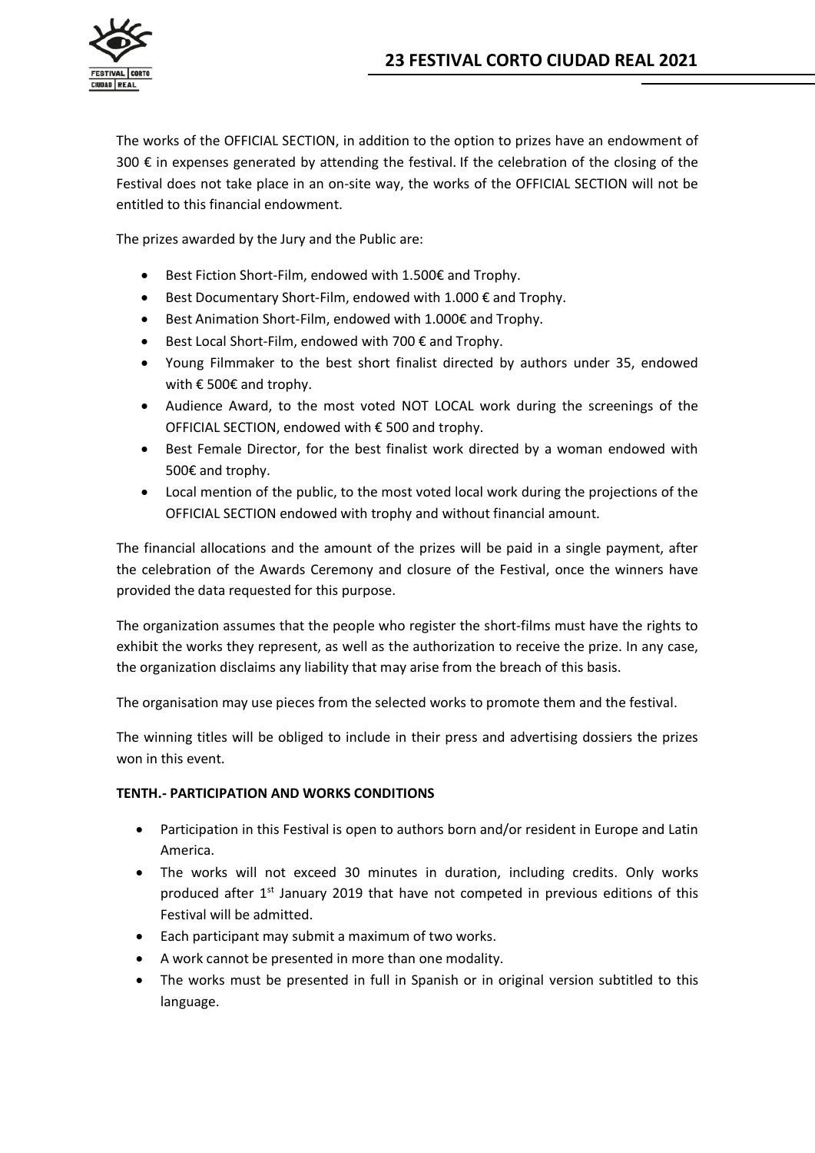

The works of the OFFICIAL SECTION, in addition to the option to prizes have an endowment of 300 € in expenses generated by attending the festival. If the celebration of the closing of the Festival does not take place in an on-site way, the works of the OFFICIAL SECTION will not be entitled to this financial endowment.

The prizes awarded by the Jury and the Public are:

- Best Fiction Short-Film, endowed with 1.500€ and Trophy.
- Best Documentary Short-Film, endowed with 1.000 € and Trophy.
- Best Animation Short-Film, endowed with 1.000€ and Trophy.
- Best Local Short-Film, endowed with 700 € and Trophy.
- Young Filmmaker to the best short finalist directed by authors under 35, endowed with € 500€ and trophy.
- Audience Award, to the most voted NOT LOCAL work during the screenings of the OFFICIAL SECTION, endowed with € 500 and trophy.
- Best Female Director, for the best finalist work directed by a woman endowed with 500€ and trophy.
- Local mention of the public, to the most voted local work during the projections of the OFFICIAL SECTION endowed with trophy and without financial amount.

The financial allocations and the amount of the prizes will be paid in a single payment, after the celebration of the Awards Ceremony and closure of the Festival, once the winners have provided the data requested for this purpose.

The organization assumes that the people who register the short-films must have the rights to exhibit the works they represent, as well as the authorization to receive the prize. In any case, the organization disclaims any liability that may arise from the breach of this basis.

The organisation may use pieces from the selected works to promote them and the festival.

The winning titles will be obliged to include in their press and advertising dossiers the prizes won in this event.

# **TENTH.- PARTICIPATION AND WORKS CONDITIONS**

- Participation in this Festival is open to authors born and/or resident in Europe and Latin America.
- The works will not exceed 30 minutes in duration, including credits. Only works produced after  $1<sup>st</sup>$  January 2019 that have not competed in previous editions of this Festival will be admitted.
- Each participant may submit a maximum of two works.
- A work cannot be presented in more than one modality.
- The works must be presented in full in Spanish or in original version subtitled to this language.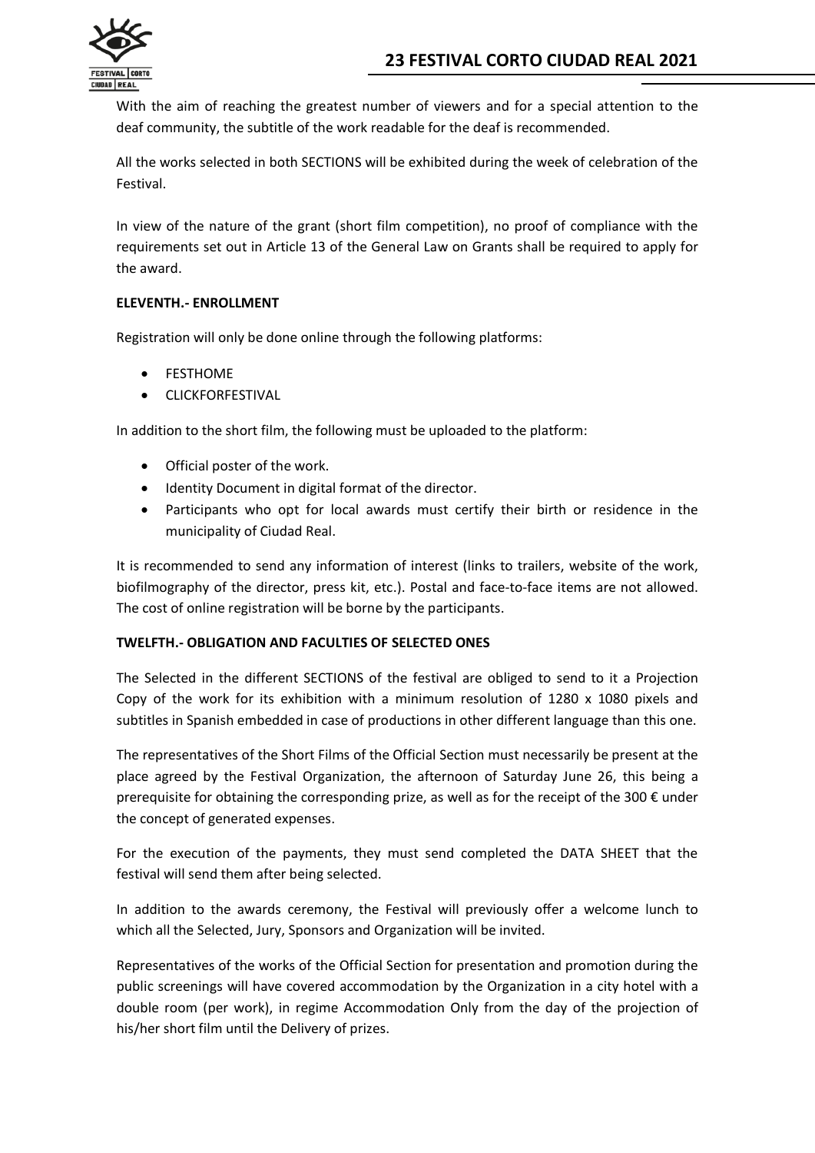

With the aim of reaching the greatest number of viewers and for a special attention to the deaf community, the subtitle of the work readable for the deaf is recommended.

All the works selected in both SECTIONS will be exhibited during the week of celebration of the Festival.

In view of the nature of the grant (short film competition), no proof of compliance with the requirements set out in Article 13 of the General Law on Grants shall be required to apply for the award.

# **ELEVENTH.- ENROLLMENT**

Registration will only be done online through the following platforms:

- **FESTHOME**
- **CLICKFORFESTIVAL**

In addition to the short film, the following must be uploaded to the platform:

- Official poster of the work.
- Identity Document in digital format of the director.
- Participants who opt for local awards must certify their birth or residence in the municipality of Ciudad Real.

It is recommended to send any information of interest (links to trailers, website of the work, biofilmography of the director, press kit, etc.). Postal and face-to-face items are not allowed. The cost of online registration will be borne by the participants.

# **TWELFTH.- OBLIGATION AND FACULTIES OF SELECTED ONES**

The Selected in the different SECTIONS of the festival are obliged to send to it a Projection Copy of the work for its exhibition with a minimum resolution of 1280 x 1080 pixels and subtitles in Spanish embedded in case of productions in other different language than this one.

The representatives of the Short Films of the Official Section must necessarily be present at the place agreed by the Festival Organization, the afternoon of Saturday June 26, this being a prerequisite for obtaining the corresponding prize, as well as for the receipt of the 300  $\epsilon$  under the concept of generated expenses.

For the execution of the payments, they must send completed the DATA SHEET that the festival will send them after being selected.

In addition to the awards ceremony, the Festival will previously offer a welcome lunch to which all the Selected, Jury, Sponsors and Organization will be invited.

Representatives of the works of the Official Section for presentation and promotion during the public screenings will have covered accommodation by the Organization in a city hotel with a double room (per work), in regime Accommodation Only from the day of the projection of his/her short film until the Delivery of prizes.